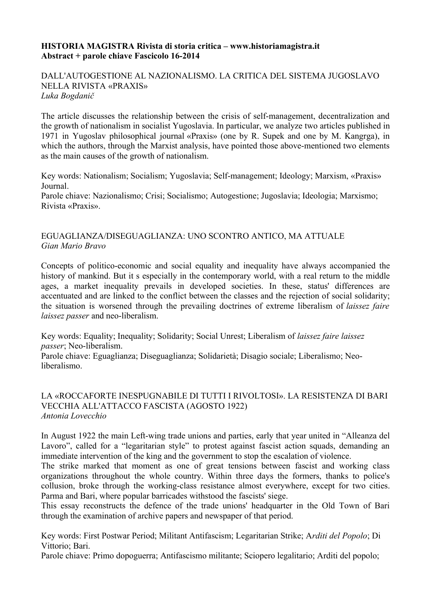#### **HISTORIA MAGISTRA Rivista di storia critica – www.historiamagistra.it Abstract + parole chiave Fascicolo 16-2014**

#### DALL'AUTOGESTIONE AL NAZIONALISMO. LA CRITICA DEL SISTEMA JUGOSLAVO NELLA RIVISTA «PRAXIS» *Luka Bogdanič*

The article discusses the relationship between the crisis of self-management, decentralization and the growth of nationalism in socialist Yugoslavia. In particular, we analyze two articles published in 1971 in Yugoslav philosophical journal «Praxis» (one by R. Supek and one by M. Kangrga), in which the authors, through the Marxist analysis, have pointed those above-mentioned two elements as the main causes of the growth of nationalism.

Key words: Nationalism; Socialism; Yugoslavia; Self-management; Ideology; Marxism, «Praxis» Journal.

Parole chiave: Nazionalismo; Crisi; Socialismo; Autogestione; Jugoslavia; Ideologia; Marxismo; Rivista «Praxis».

## EGUAGLIANZA/DISEGUAGLIANZA: UNO SCONTRO ANTICO, MA ATTUALE *Gian Mario Bravo*

Concepts of politico-economic and social equality and inequality have always accompanied the history of mankind. But it s especially in the contemporary world, with a real return to the middle ages, a market inequality prevails in developed societies. In these, status' differences are accentuated and are linked to the conflict between the classes and the rejection of social solidarity; the situation is worsened through the prevailing doctrines of extreme liberalism of *laissez faire laissez passer* and neo-liberalism.

Key words: Equality; Inequality; Solidarity; Social Unrest; Liberalism of *laissez faire laissez passer*; Neo-liberalism.

Parole chiave: Eguaglianza; Diseguaglianza; Solidarietà; Disagio sociale; Liberalismo; Neoliberalismo.

### LA «ROCCAFORTE INESPUGNABILE DI TUTTI I RIVOLTOSI». LA RESISTENZA DI BARI VECCHIA ALL'ATTACCO FASCISTA (AGOSTO 1922) *Antonia Lovecchio*

In August 1922 the main Left-wing trade unions and parties, early that year united in "Alleanza del Lavoro", called for a "legaritarian style" to protest against fascist action squads, demanding an immediate intervention of the king and the government to stop the escalation of violence.

The strike marked that moment as one of great tensions between fascist and working class organizations throughout the whole country. Within three days the formers, thanks to police's collusion, broke through the working-class resistance almost everywhere, except for two cities. Parma and Bari, where popular barricades withstood the fascists' siege.

This essay reconstructs the defence of the trade unions' headquarter in the Old Town of Bari through the examination of archive papers and newspaper of that period.

Key words: First Postwar Period; Militant Antifascism; Legaritarian Strike; A*rditi del Popolo*; Di Vittorio; Bari.

Parole chiave: Primo dopoguerra; Antifascismo militante; Sciopero legalitario; Arditi del popolo;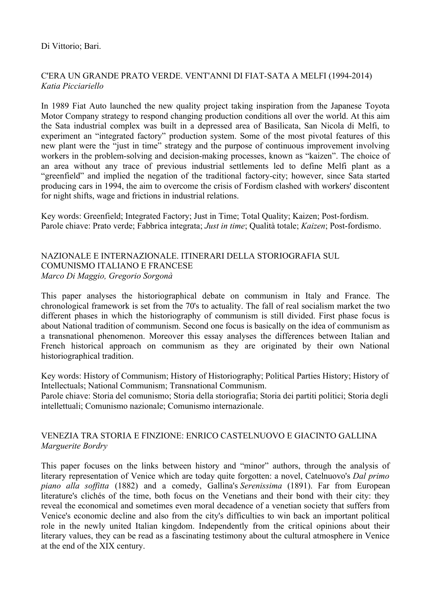# C'ERA UN GRANDE PRATO VERDE. VENT'ANNI DI FIAT-SATA A MELFI (1994-2014) *Katia Picciariello*

In 1989 Fiat Auto launched the new quality project taking inspiration from the Japanese Toyota Motor Company strategy to respond changing production conditions all over the world. At this aim the Sata industrial complex was built in a depressed area of Basilicata, San Nicola di Melfi, to experiment an "integrated factory" production system. Some of the most pivotal features of this new plant were the "just in time" strategy and the purpose of continuous improvement involving workers in the problem-solving and decision-making processes, known as "kaizen". The choice of an area without any trace of previous industrial settlements led to define Melfi plant as a "greenfield" and implied the negation of the traditional factory-city; however, since Sata started producing cars in 1994, the aim to overcome the crisis of Fordism clashed with workers' discontent for night shifts, wage and frictions in industrial relations.

Key words: Greenfield; Integrated Factory; Just in Time; Total Quality; Kaizen; Post-fordism. Parole chiave: Prato verde; Fabbrica integrata; *Just in time*; Qualità totale; *Kaizen*; Post-fordismo.

## NAZIONALE E INTERNAZIONALE. ITINERARI DELLA STORIOGRAFIA SUL COMUNISMO ITALIANO E FRANCESE *Marco Di Maggio, Gregorio Sorgonà*

This paper analyses the historiographical debate on communism in Italy and France. The chronological framework is set from the 70's to actuality. The fall of real socialism market the two different phases in which the historiography of communism is still divided. First phase focus is about National tradition of communism. Second one focus is basically on the idea of communism as a transnational phenomenon. Moreover this essay analyses the differences between Italian and French historical approach on communism as they are originated by their own National historiographical tradition.

Key words: History of Communism; History of Historiography; Political Parties History; History of Intellectuals; National Communism; Transnational Communism.

Parole chiave: Storia del comunismo; Storia della storiografia; Storia dei partiti politici; Storia degli intellettuali; Comunismo nazionale; Comunismo internazionale.

## VENEZIA TRA STORIA E FINZIONE: ENRICO CASTELNUOVO E GIACINTO GALLINA *Marguerite Bordry*

This paper focuses on the links between history and "minor" authors, through the analysis of literary representation of Venice which are today quite forgotten: a novel, Catelnuovo's *Dal primo piano alla soffitta* (1882) and a comedy, Gallina's *Serenissima* (1891). Far from European literature's clichés of the time, both focus on the Venetians and their bond with their city: they reveal the economical and sometimes even moral decadence of a venetian society that suffers from Venice's economic decline and also from the city's difficulties to win back an important political role in the newly united Italian kingdom. Independently from the critical opinions about their literary values, they can be read as a fascinating testimony about the cultural atmosphere in Venice at the end of the XIX century.